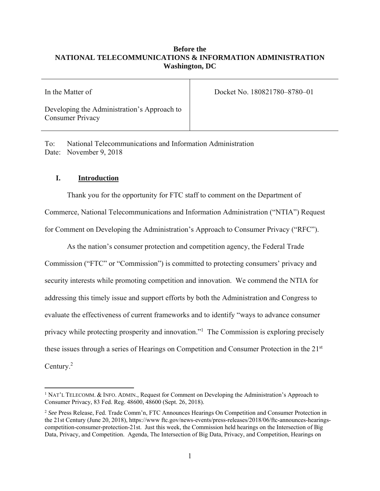# **Before the NATIONAL TELECOMMUNICATIONS & INFORMATION ADMINISTRATION Washington, DC**

| In the Matter of                                                       | Docket No. 180821780-8780-01 |
|------------------------------------------------------------------------|------------------------------|
| Developing the Administration's Approach to<br><b>Consumer Privacy</b> |                              |

To: National Telecommunications and Information Administration Date: November 9, 2018

# **I. Introduction**

 $\overline{a}$ 

Thank you for the opportunity for FTC staff to comment on the Department of Commerce, National Telecommunications and Information Administration ("NTIA") Request for Comment on Developing the Administration's Approach to Consumer Privacy ("RFC").

As the nation's consumer protection and competition agency, the Federal Trade Commission ("FTC" or "Commission") is committed to protecting consumers' privacy and security interests while promoting competition and innovation. We commend the NTIA for addressing this timely issue and support efforts by both the Administration and Congress to evaluate the effectiveness of current frameworks and to identify "ways to advance consumer privacy while protecting prosperity and innovation."1 The Commission is exploring precisely these issues through a series of Hearings on Competition and Consumer Protection in the 21st Century.2

<sup>&</sup>lt;sup>1</sup> NAT'L TELECOMM. & INFO. ADMIN., Request for Comment on Developing the Administration's Approach to Consumer Privacy, 83 Fed. Reg. 48600, 48600 (Sept. 26, 2018).

 competition-consumer-protection-21st. Just this week, the Commission held hearings on the Intersection of Big Data, Privacy, and Competition. Agenda, The Intersection of Big Data, Privacy, and Competition, Hearings on <sup>2</sup>*See* Press Release, Fed. Trade Comm'n, FTC Announces Hearings On Competition and Consumer Protection in the 21st Century (June 20, 2018), https://www ftc.gov/news-events/press-releases/2018/06/ftc-announces-hearings-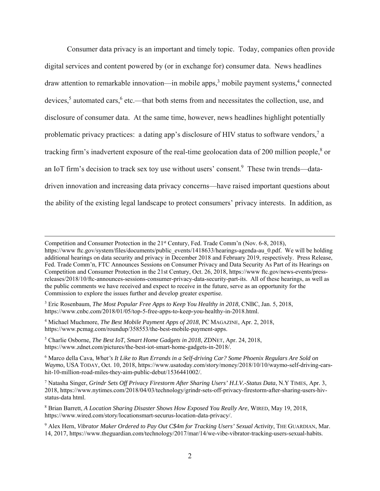Consumer data privacy is an important and timely topic. Today, companies often provide digital services and content powered by (or in exchange for) consumer data. News headlines draw attention to remarkable innovation—in mobile apps,<sup>3</sup> mobile payment systems,<sup>4</sup> connected devices,<sup>5</sup> automated cars,<sup>6</sup> etc.—that both stems from and necessitates the collection, use, and disclosure of consumer data. At the same time, however, news headlines highlight potentially problematic privacy practices: a dating app's disclosure of HIV status to software vendors,<sup>7</sup> a tracking firm's inadvertent exposure of the real-time geolocation data of 200 million people,<sup>8</sup> or an IoT firm's decision to track sex toy use without users' consent.<sup>9</sup> These twin trends—datadriven innovation and increasing data privacy concerns—have raised important questions about the ability of the existing legal landscape to protect consumers' privacy interests. In addition, as

3 Eric Rosenbaum, *The Most Popular Free Apps to Keep You Healthy in 2018*, CNBC, Jan. 5, 2018, https://www.cnbc.com/2018/01/05/top-5-free-apps-to-keep-you-healthy-in-2018.html.

4 Michael Muchmore, *The Best Mobile Payment Apps of 2018*, PC MAGAZINE, Apr. 2, 2018, https://www.pcmag.com/roundup/358553/the-best-mobile-payment-apps.

5 Charlie Osborne, *The Best IoT, Smart Home Gadgets in 2018*, ZDNET, Apr. 24, 2018, https://www.zdnet.com/pictures/the-best-iot-smart-home-gadgets-in-2018/.

 $\overline{a}$ 

6 Marco della Cava, *What's It Like to Run Errands in a Self-driving Car? Some Phoenix Regulars Are Sold on Waymo*, USA TODAY, Oct. 10, 2018, https://www.usatoday.com/story/money/2018/10/10/waymo-self-driving-carshit-10-million-road-miles-they-aim-public-debut/1536441002/.

7 Natasha Singer, *Grindr Sets Off Privacy Firestorm After Sharing Users' H.I.V.-Status Data*, N.Y TIMES, Apr. 3, 2018, https://www.nytimes.com/2018/04/03/technology/grindr-sets-off-privacy-firestorm-after-sharing-users-hivstatus-data html.

 8 Brian Barrett, *A Location Sharing Disaster Shows How Exposed You Really Are*, WIRED, May 19, 2018, https://www.wired.com/story/locationsmart-securus-location-data-privacy/.

<sup>9</sup> Alex Hern, *Vibrator Maker Ordered to Pay Out C\$4m for Tracking Users' Sexual Activity*, THE GUARDIAN, Mar. 14, 2017, https://www.theguardian.com/technology/2017/mar/14/we-vibe-vibrator-tracking-users-sexual-habits.

 additional hearings on data security and privacy in December 2018 and February 2019, respectively. Press Release, Competition and Consumer Protection in the  $21<sup>st</sup>$  Century, Fed. Trade Comm'n (Nov. 6-8, 2018), https://www.ftc.gov/system/files/documents/public\_events/1418633/hearings-agenda-au\_0.pdf. We will be holding Fed. Trade Comm'n, FTC Announces Sessions on Consumer Privacy and Data Security As Part of its Hearings on Competition and Consumer Protection in the 21st Century, Oct. 26, 2018, https://www ftc.gov/news-events/pressreleases/2018/10/ftc-announces-sessions-consumer-privacy-data-security-part-its. All of these hearings, as well as the public comments we have received and expect to receive in the future, serve as an opportunity for the Commission to explore the issues further and develop greater expertise.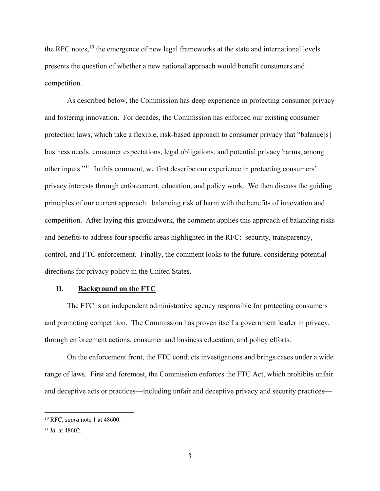the RFC notes,<sup>10</sup> the emergence of new legal frameworks at the state and international levels presents the question of whether a new national approach would benefit consumers and competition.

As described below, the Commission has deep experience in protecting consumer privacy and fostering innovation. For decades, the Commission has enforced our existing consumer protection laws, which take a flexible, risk-based approach to consumer privacy that "balance[s] business needs, consumer expectations, legal obligations, and potential privacy harms, among other inputs."11 In this comment, we first describe our experience in protecting consumers' privacy interests through enforcement, education, and policy work. We then discuss the guiding principles of our current approach: balancing risk of harm with the benefits of innovation and competition. After laying this groundwork, the comment applies this approach of balancing risks and benefits to address four specific areas highlighted in the RFC: security, transparency, control, and FTC enforcement. Finally, the comment looks to the future, considering potential directions for privacy policy in the United States.

#### **II. Background on the FTC**

The FTC is an independent administrative agency responsible for protecting consumers and promoting competition. The Commission has proven itself a government leader in privacy, through enforcement actions, consumer and business education, and policy efforts.

On the enforcement front, the FTC conducts investigations and brings cases under a wide range of laws. First and foremost, the Commission enforces the FTC Act, which prohibits unfair and deceptive acts or practices—including unfair and deceptive privacy and security practices—

<sup>10</sup> RFC, *supra* note 1 at 48600.

<sup>11</sup>*Id.* at 48602.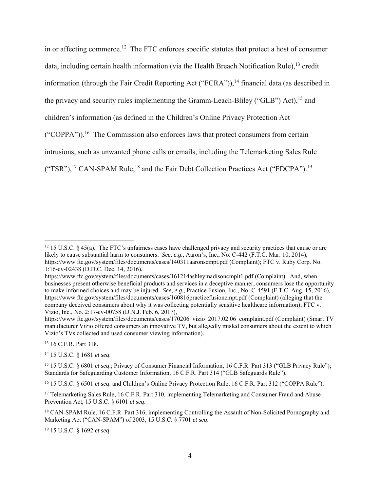("TSR"),<sup>17</sup> CAN-SPAM Rule,<sup>18</sup> and the Fair Debt Collection Practices Act ("FDCPA").<sup>19</sup> in or affecting commerce.12 The FTC enforces specific statutes that protect a host of consumer data, including certain health information (via the Health Breach Notification Rule),  $^{13}$  credit information (through the Fair Credit Reporting Act ("FCRA")), $^{14}$  financial data (as described in the privacy and security rules implementing the Gramm-Leach-Bliley ("GLB") Act),  $^{15}$  and children's information (as defined in the Children's Online Privacy Protection Act ("COPPA")).<sup>16</sup> The Commission also enforces laws that protect consumers from certain intrusions, such as unwanted phone calls or emails, including the Telemarketing Sales Rule

 $\overline{a}$ 

14 15 U.S.C. § 1681 *et seq*.

15 15 U.S.C. § 6801 *et seq*.; Privacy of Consumer Financial Information, 16 C.F.R. Part 313 ("GLB Privacy Rule"); Standards for Safeguarding Customer Information, 16 C.F.R. Part 314 ("GLB Safeguards Rule").

16 15 U.S.C. § 6501 *et seq*. and Children's Online Privacy Protection Rule, 16 C.F.R. Part 312 ("COPPA Rule").

<sup>17</sup> Telemarketing Sales Rule, 16 C.F.R. Part 310, implementing Telemarketing and Consumer Fraud and Abuse Prevention Act, 15 U.S.C. § 6101 *et seq*.

<sup>18</sup> CAN-SPAM Rule, 16 C.F.R. Part 316, implementing Controlling the Assault of Non-Solicited Pornography and Marketing Act ("CAN-SPAM") of 2003, 15 U.S.C. § 7701 *et seq*.

19 15 U.S.C. § 1692 *et seq*.

 $12$  15 U.S.C. § 45(a). The FTC's unfairness cases have challenged privacy and security practices that cause or are likely to cause substantial harm to consumers. *See, e.g.*, Aaron's, Inc., No. C-442 (F.T.C. Mar. 10, 2014), https://www ftc.gov/system/files/documents/cases/140311aaronscmpt.pdf (Complaint); FTC v. Ruby Corp. No. 1:16-cv-02438 (D.D.C. Dec. 14, 2016),

 businesses present otherwise beneficial products and services in a deceptive manner, consumers lose the opportunity to make informed choices and may be injured. *See, e.g.*, Practice Fusion, Inc., No. C-4591 (F.T.C. Aug. 15, 2016), https://www ftc.gov/system/files/documents/cases/161214ashleymadisoncmplt1.pdf (Complaint). And, when https://www ftc.gov/system/files/documents/cases/160816practicefusioncmpt.pdf (Complaint) (alleging that the company deceived consumers about why it was collecting potentially sensitive healthcare information); FTC v. Vizio, Inc., No. 2:17-cv-00758 (D.N.J. Feb. 6, 2017),

 Vizio's TVs collected and used consumer viewing information). 13 16 C.F.R. Part 318*.*  https://www ftc.gov/system/files/documents/cases/170206\_vizio\_2017.02.06\_complaint.pdf (Complaint) (Smart TV manufacturer Vizio offered consumers an innovative TV, but allegedly misled consumers about the extent to which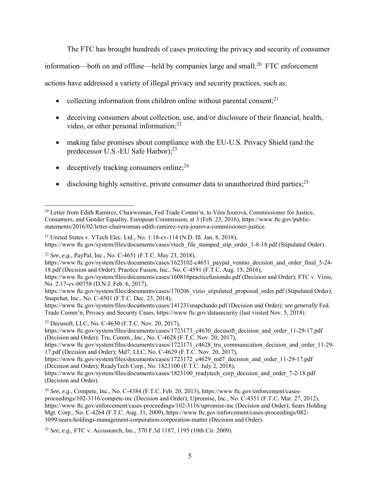The FTC has brought hundreds of cases protecting the privacy and security of consumer

information—both on and offline—held by companies large and small.<sup>20</sup> FTC enforcement

actions have addressed a variety of illegal privacy and security practices, such as:

- collecting information from children online without parental consent; $^{21}$
- video, or other personal information; $^{22}$ deceiving consumers about collection, use, and/or disclosure of their financial, health,
- making false promises about compliance with the EU-U.S. Privacy Shield (and the predecessor U.S.-EU Safe Harbor):<sup>23</sup>
- $\bullet$  deceptively tracking consumers online;<sup>24</sup>

 $\overline{a}$ 

 $\bullet$  disclosing highly sensitive, private consumer data to unauthorized third parties;<sup>25</sup>

<sup>22</sup>*See, e.g.*, PayPal, Inc., No. C-4651 (F.T.C. May 23, 2018),

23 Decusoft, LLC, No. C-4630 (F.T.C. Nov. 20, 2017),

https://www.ftc.gov/system/files/documents/cases/1723173\_c4630\_decusoft\_decision\_and\_order\_11-29-17.pdf (Decision and Order); Tru, Comm., Inc., No. C-4628 (F.T.C. Nov. 20, 2017),

https://www.ftc.gov/system/files/documents/cases/1723171\_c4628\_tru\_communication\_decision\_and\_order\_11-29-17.pdf (Decision and Order); Md7, LLC, No. C-4629 (F.T.C. Nov. 20, 2017),

https://www.ftc.gov/system/files/documents/cases/1723172\_c4629\_md7\_decision\_and\_order\_11-29-17.pdf (Decision and Order); ReadyTech Corp., No. 1823100 (F.T.C. July 2, 2018),

<sup>20</sup> Letter from Edith Ramirez, Chairwoman, Fed Trade Comm'n, to Věra Jourová, Commissioner for Justice, Consumers, and Gender Equality, European Commission, at 3 (Feb. 23, 2016), https://www.ftc.gov/public-

statements/2016/02/letter-chairwoman-edith-ramirez-vera-jourova-commissioner-justice.<br><sup>21</sup> United States v. VTech Elec. Ltd., No. 1:18-cv-114 (N.D. III. Jan. 8, 2018), https://www ftc.gov/system/files/documents/cases/vtech\_file\_stamped\_stip\_order\_1-8-18.pdf (Stipulated Order).

 18.pdf (Decision and Order); Practice Fusion, Inc., No. C-4591 (F.T.C. Aug. 15, 2016), https://www.ftc.gov/system/files/documents/cases/1623102-c4651\_paypal\_venmo\_decision\_and\_order\_final\_5-24-

https://www ftc.gov/system/files/documents/cases/160816practicefusiondo.pdf (Decision and Order); FTC v. Vizio, No. 2:17-cv-00758 (D.N.J. Feb. 6, 2017),

https://www ftc.gov/system/files/documents/cases/170206\_vizio\_stipulated\_proposed\_order.pdf (Stipulated Order); Snapchat, Inc., No. C-4501 (F.T.C. Dec. 23, 2014),

https://www ftc.gov/system/files/documents/cases/141231snapchatdo.pdf (Decision and Order); *see generally* Fed. Trade Comm'n, Privacy and Security Cases, https://www ftc.gov/datasecurity (last visited Nov. 5, 2018).

https://www.ftc.gov/system/files/documents/cases/1823100\_readytech\_corp\_decision\_and\_order\_7-2-18.pdf (Decision and Order).

<sup>24</sup> *See, e.g.*, Compete, Inc., No. C-4384 (F.T.C. Feb. 20, 2013), https://www ftc.gov/enforcement/casesproceedings/102-3116/compete-inc (Decision and Order); Upromise, Inc., No. C-4351 (F.T.C. Mar. 27, 2012), https://www ftc.gov/enforcement/cases-proceedings/102-3116/upromise-inc (Decision and Order); Sears Holding Mgt. Corp., No. C-4264 (F.T.C. Aug. 31, 2009), https://www ftc.gov/enforcement/cases-proceedings/082- 3099/sears-holdings-management-corporation-corporation-matter (Decision and Order).

<sup>25</sup>*See, e.g.*, FTC v. Accusearch, Inc., 570 F.3d 1187, 1195 (10th Cir. 2009).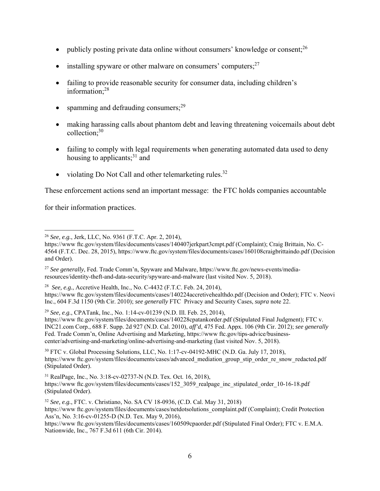- publicly posting private data online without consumers' knowledge or consent; $^{26}$
- installing spyware or other malware on consumers' computers; $27$
- information;<sup>28</sup> • failing to provide reasonable security for consumer data, including children's
- spamming and defrauding consumers;<sup>29</sup>
- collection;<sup>30</sup> making harassing calls about phantom debt and leaving threatening voicemails about debt
- failing to comply with legal requirements when generating automated data used to deny housing to applicants;<sup>31</sup> and
- violating Do Not Call and other telemarketing rules. $32$

These enforcement actions send an important message: the FTC holds companies accountable

for their information practices.

 $\overline{a}$ 

 <sup>28</sup>*See, e.g.*, Accretive Health, Inc., No. C-4432 (F.T.C. Feb. 24, 2014), https://www ftc.gov/system/files/documents/cases/140224accretivehealthdo.pdf (Decision and Order); FTC v. Neovi Inc., 604 F.3d 1150 (9th Cir. 2010); *see generally* FTC Privacy and Security Cases, *supra* note 22.

<sup>29</sup>*See, e.g.*, CPATank, Inc., No. 1:14-cv-01239 (N.D. Ill. Feb. 25, 2014),

 INC21.com Corp., 688 F. Supp. 2d 927 (N.D. Cal. 2010), *aff'd*, 475 Fed. Appx. 106 (9th Cir. 2012); *see generally*  https://www ftc.gov/system/files/documents/cases/140228cpatankorder.pdf (Stipulated Final Judgment); FTC v. Fed. Trade Comm'n, Online Advertising and Marketing, https://www ftc.gov/tips-advice/businesscenter/advertising-and-marketing/online-advertising-and-marketing (last visited Nov. 5, 2018).

 $30$  FTC v. Global Processing Solutions, LLC, No. 1:17-cv-04192-MHC (N.D. Ga. July 17, 2018), https://www ftc.gov/system/files/documents/cases/advanced\_mediation\_group\_stip\_order\_re\_snow\_redacted.pdf (Stipulated Order).

31 RealPage, Inc., No. 3:18-cv-02737-N (N.D. Tex. Oct. 16, 2018), https://www.ftc.gov/system/files/documents/cases/152\_3059\_realpage\_inc\_stipulated\_order\_10-16-18.pdf (Stipulated Order).

<sup>32</sup>*See, e.g.*, FTC. v. Christiano, No. SA CV 18-0936, (C.D. Cal. May 31, 2018) https://www ftc.gov/system/files/documents/cases/netdotsolutions\_complaint.pdf (Complaint); Credit Protection Ass'n, No. 3:16-cv-01255-D (N.D. Tex. May 9, 2016),

 Nationwide, Inc., 767 F.3d 611 (6th Cir. 2014). https://www ftc.gov/system/files/documents/cases/160509cpaorder.pdf (Stipulated Final Order); FTC v. E.M.A.

<sup>26</sup>*See, e.g.*, Jerk, LLC, No. 9361 (F.T.C. Apr. 2, 2014),

https://www ftc.gov/system/files/documents/cases/140407jerkpart3cmpt.pdf (Complaint); Craig Brittain, No. C-4564 (F.T.C. Dec. 28, 2015), https://www.ftc.gov/system/files/documents/cases/160108craigbrittaindo.pdf (Decision and Order).

 resources/identity-theft-and-data-security/spyware-and-malware (last visited Nov. 5, 2018). 27 *See generally*, Fed. Trade Comm'n, Spyware and Malware, https://www.ftc.gov/news-events/media-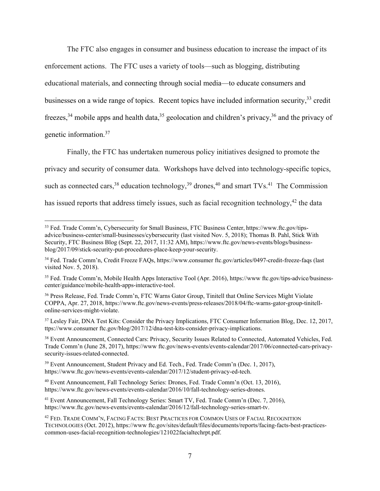genetic information.<sup>37</sup> The FTC also engages in consumer and business education to increase the impact of its enforcement actions. The FTC uses a variety of tools—such as blogging, distributing educational materials, and connecting through social media—to educate consumers and businesses on a wide range of topics. Recent topics have included information security,<sup>33</sup> credit freezes,<sup>34</sup> mobile apps and health data,<sup>35</sup> geolocation and children's privacy,<sup>36</sup> and the privacy of

Finally, the FTC has undertaken numerous policy initiatives designed to promote the privacy and security of consumer data. Workshops have delved into technology-specific topics, such as connected cars,  $38$  education technology,  $39$  drones,  $40$  and smart TVs.  $41$  The Commission has issued reports that address timely issues, such as facial recognition technology,<sup>42</sup> the data

<sup>33</sup> Fed. Trade Comm'n, Cybersecurity for Small Business, FTC Business Center, https://www.ftc.gov/tipsadvice/business-center/small-businesses/cybersecurity (last visited Nov. 5, 2018); Thomas B. Pahl, Stick With Security, FTC Business Blog (Sept. 22, 2017, 11:32 AM), https://www.ftc.gov/news-events/blogs/businessblog/2017/09/stick-security-put-procedures-place-keep-your-security.

 visited Nov. 5, 2018). 34 Fed. Trade Comm'n, Credit Freeze FAQs, https://www.consumer ftc.gov/articles/0497-credit-freeze-faqs (last

<sup>&</sup>lt;sup>35</sup> Fed. Trade Comm'n, Mobile Health Apps Interactive Tool (Apr. 2016), https://www ftc.gov/tips-advice/businesscenter/guidance/mobile-health-apps-interactive-tool.

<sup>36</sup> Press Release, Fed. Trade Comm'n, FTC Warns Gator Group, Tinitell that Online Services Might Violate COPPA, Apr. 27, 2018, https://www.ftc.gov/news-events/press-releases/2018/04/ftc-warns-gator-group-tinitellonline-services-might-violate.

<sup>37</sup> Lesley Fair, DNA Test Kits: Consider the Privacy Implications, FTC Consumer Information Blog, Dec. 12, 2017, ttps://www.consumer ftc.gov/blog/2017/12/dna-test-kits-consider-privacy-implications.

<sup>38</sup> Event Announcement, Connected Cars: Privacy, Security Issues Related to Connected, Automated Vehicles, Fed. Trade Comm'n (June 28, 2017), https://www ftc.gov/news-events/events-calendar/2017/06/connected-cars-privacysecurity-issues-related-connected.

<sup>&</sup>lt;sup>39</sup> Event Announcement, Student Privacy and Ed. Tech., Fed. Trade Comm'n (Dec. 1, 2017), https://www.ftc.gov/news-events/events-calendar/2017/12/student-privacy-ed-tech.

<sup>40</sup> Event Announcement, Fall Technology Series: Drones, Fed. Trade Comm'n (Oct. 13, 2016), https://www.ftc.gov/news-events/events-calendar/2016/10/fall-technology-series-drones.

<sup>41</sup> Event Announcement, Fall Technology Series: Smart TV, Fed. Trade Comm'n (Dec. 7, 2016), https://www.ftc.gov/news-events/events-calendar/2016/12/fall-technology-series-smart-tv.

<sup>42</sup> FED. TRADE COMM'N, FACING FACTS: BEST PRACTICES FOR COMMON USES OF FACIAL RECOGNITION TECHNOLOGIES (Oct. 2012), https://www ftc.gov/sites/default/files/documents/reports/facing-facts-best-practicescommon-uses-facial-recognition-technologies/121022facialtechrpt.pdf.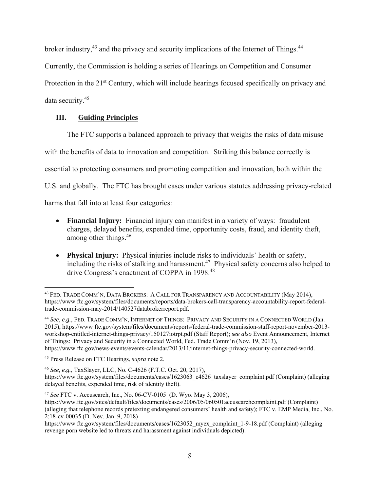broker industry,<sup>43</sup> and the privacy and security implications of the Internet of Things.<sup>44</sup>

Currently, the Commission is holding a series of Hearings on Competition and Consumer

Protection in the 21<sup>st</sup> Century, which will include hearings focused specifically on privacy and

data security.<sup>45</sup>

# **III. Guiding Principles**

The FTC supports a balanced approach to privacy that weighs the risks of data misuse

with the benefits of data to innovation and competition. Striking this balance correctly is

essential to protecting consumers and promoting competition and innovation, both within the

U.S. and globally. The FTC has brought cases under various statutes addressing privacy-related

harms that fall into at least four categories:

- among other things.<sup>46</sup> **Financial Injury:** Financial injury can manifest in a variety of ways: fraudulent charges, delayed benefits, expended time, opportunity costs, fraud, and identity theft,
- **Physical Injury:** Physical injuries include risks to individuals' health or safety, including the risks of stalking and harassment.<sup>47</sup> Physical safety concerns also helped to drive Congress's enactment of COPPA in 1998.<sup>48</sup>

 <sup>44</sup>*See, e.g.*, FED. TRADE COMM'N, INTERNET OF THINGS: PRIVACY AND SECURITY IN A CONNECTED WORLD (Jan. of Things: Privacy and Security in a Connected World, Fed. Trade Comm'n (Nov. 19, 2013), 2015), https://www ftc.gov/system/files/documents/reports/federal-trade-commission-staff-report-november-2013 workshop-entitled-internet-things-privacy/150127iotrpt.pdf (Staff Report); *see also* Event Announcement, Internet https://www.ftc.gov/news-events/events-calendar/2013/11/internet-things-privacy-security-connected-world.

 $\overline{a}$ <sup>43</sup> FED. TRADE COMM'N, DATA BROKERS: A CALL FOR TRANSPARENCY AND ACCOUNTABILITY (May 2014), https://www ftc.gov/system/files/documents/reports/data-brokers-call-transparency-accountability-report-federaltrade-commission-may-2014/140527databrokerreport.pdf.

<sup>45</sup> Press Release on FTC Hearings, *supra* note 2.

<sup>46</sup>*See, e.g.*, TaxSlayer, LLC, No. C-4626 (F.T.C. Oct. 20, 2017),

https://www.ftc.gov/system/files/documents/cases/1623063\_c4626\_taxslayer\_complaint.pdf (Complaint) (alleging delayed benefits, expended time, risk of identity theft).

<sup>47</sup>*See* FTC v. Accusearch, Inc., No. 06-CV-0105 (D. Wyo. May 3, 2006),

 (alleging that telephone records pretexting endangered consumers' health and safety); FTC v. EMP Media, Inc., No. 2:18-cv-00035 (D. Nev. Jan. 9, 2018) https://www.ftc.gov/sites/default/files/documents/cases/2006/05/060501accusearchcomplaint.pdf (Complaint)

https://www.ftc.gov/system/files/documents/cases/1623052\_myex\_complaint\_1-9-18.pdf (Complaint) (alleging revenge porn website led to threats and harassment against individuals depicted).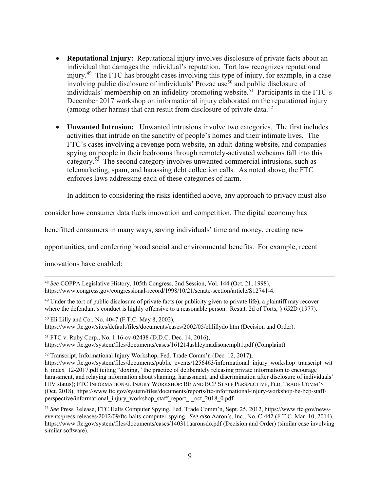- (among other harms) that can result from disclosure of private data. $52$  **Reputational Injury:** Reputational injury involves disclosure of private facts about an individual that damages the individual's reputation. Tort law recognizes reputational injury.49 The FTC has brought cases involving this type of injury, for example, in a case involving public disclosure of individuals' Prozac use<sup>50</sup> and public disclosure of individuals' membership on an infidelity-promoting website.<sup>51</sup> Participants in the FTC's December 2017 workshop on informational injury elaborated on the reputational injury
- **Unwanted Intrusion:** Unwanted intrusions involve two categories. The first includes activities that intrude on the sanctity of people's homes and their intimate lives. The FTC's cases involving a revenge porn website, an adult-dating website, and companies spying on people in their bedrooms through remotely-activated webcams fall into this category.<sup>53</sup> The second category involves unwanted commercial intrusions, such as telemarketing, spam, and harassing debt collection calls. As noted above, the FTC enforces laws addressing each of these categories of harm.

In addition to considering the risks identified above, any approach to privacy must also

consider how consumer data fuels innovation and competition. The digital economy has

benefitted consumers in many ways, saving individuals' time and money, creating new

opportunities, and conferring broad social and environmental benefits. For example, recent

innovations have enabled:

 $\overline{a}$ 

where the defendant's conduct is highly offensive to a reasonable person. Restat. 2d of Torts, § 652D (1977). <sup>49</sup> Under the tort of public disclosure of private facts (or publicity given to private life), a plaintiff may recover

50 Eli Lilly and Co., No. 4047 (F.T.C. May 8, 2002), https://www ftc.gov/sites/default/files/documents/cases/2002/05/elilillydo htm (Decision and Order).

51 FTC v. Ruby Corp., No. 1:16-cv-02438 (D.D.C. Dec. 14, 2016), https://www ftc.gov/system/files/documents/cases/161214ashleymadisoncmplt1.pdf (Complaint).

52 Transcript, Informational Injury Workshop, Fed. Trade Comm'n (Dec. 12, 2017),

 HIV status); FTC INFORMATIONAL INJURY WORKSHOP: BE AND BCP STAFF PERSPECTIVE, FED. TRADE COMM'N https://www.ftc.gov/system/files/documents/public\_events/1256463/informational\_injury\_workshop\_transcript\_wit h\_index\_12-2017.pdf (citing "doxing," the practice of deliberately releasing private information to encourage harassment, and relaying information about shaming, harassment, and discrimination after disclosure of individuals' (Oct. 2018), https://www ftc.gov/system/files/documents/reports/ftc-informational-injury-workshop-be-bcp-staffperspective/informational\_injury\_workshop\_staff\_report\_-\_oct\_2018\_0.pdf.

<sup>48</sup>*See* COPPA Legislative History, 105th Congress, 2nd Session, Vol. 144 (Oct. 21, 1998), https://www.congress.gov/congressional-record/1998/10/21/senate-section/article/S12741-4.

 events/press-releases/2012/09/ftc-halts-computer-spying. *See also* Aaron's, Inc., No. C-442 (F.T.C. Mar. 10, 2014), 53 *See* Press Release, FTC Halts Computer Spying, Fed. Trade Comm'n, Sept. 25, 2012, https://www ftc.gov/newshttps://www ftc.gov/system/files/documents/cases/140311aaronsdo.pdf (Decision and Order) (similar case involving similar software).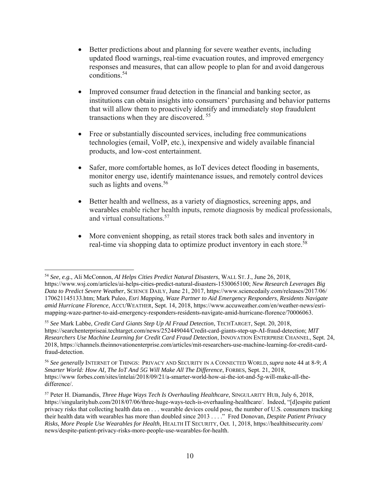- Better predictions about and planning for severe weather events, including updated flood warnings, real-time evacuation routes, and improved emergency responses and measures, that can allow people to plan for and avoid dangerous conditions.54
- Improved consumer fraud detection in the financial and banking sector, as institutions can obtain insights into consumers' purchasing and behavior patterns that will allow them to proactively identify and immediately stop fraudulent transactions when they are discovered. 55
- Free or substantially discounted services, including free communications technologies (email, VoIP, etc.), inexpensive and widely available financial products, and low-cost entertainment.
- Safer, more comfortable homes, as IoT devices detect flooding in basements, monitor energy use, identify maintenance issues, and remotely control devices such as lights and ovens.<sup>56</sup>
- Better health and wellness, as a variety of diagnostics, screening apps, and wearables enable richer health inputs, remote diagnosis by medical professionals, and virtual consultations.57
- More convenient shopping, as retail stores track both sales and inventory in real-time via shopping data to optimize product inventory in each store.<sup>58</sup>

<sup>-</sup><sup>54</sup>*See, e.g.*, Ali McConnon, *AI Helps Cities Predict Natural Disasters*, WALL ST. J., June 26, 2018, https://www.wsj.com/articles/ai-helps-cities-predict-natural-disasters-1530065100; *New Research Leverages Big Data to Predict Severe Weather*, SCIENCE DAILY, June 21, 2017, https://www.sciencedaily.com/releases/2017/06/ 170621145133.htm; Mark Puleo, *Esri Mapping, Waze Partner to Aid Emergency Responders, Residents Navigate amid Hurricane Florence*, ACCUWEATHER, Sept. 14, 2018, https://www.accuweather.com/en/weather-news/esrimapping-waze-partner-to-aid-emergency-responders-residents-navigate-amid-hurricane-florence/70006063.

<sup>55</sup>*See* Mark Labbe, *Credit Card Giants Step Up AI Fraud Detection*, TECHTARGET, Sept. 20, 2018, https://searchenterpriseai.techtarget.com/news/252449044/Credit-card-giants-step-up-AI-fraud-detection; *MIT Researchers Use Machine Learning for Credit Card Fraud Detection*, INNOVATION ENTERPRISE CHANNEL, Sept. 24, 2018, https://channels.theinnovationenterprise.com/articles/mit-researchers-use-machine-learning-for-credit-cardfraud-detection.

 <sup>56</sup>*See generally* INTERNET OF THINGS: PRIVACY AND SECURITY IN A CONNECTED WORLD, *supra* note 44 at 8-9; *A Smarter World: How AI, The IoT And 5G Will Make All The Difference*, FORBES, Sept. 21, 2018, https://www forbes.com/sites/intelai/2018/09/21/a-smarter-world-how-ai-the-iot-and-5g-will-make-all-thedifference/.

 privacy risks that collecting health data on . . . wearable devices could pose, the number of U.S. consumers tracking their health data with wearables has more than doubled since 2013 . . . ." Fred Donovan, *Despite Patient Privacy*  57 Peter H. Diamandis, *Three Huge Ways Tech Is Overhauling Healthcare*, SINGULARITY HUB, July 6, 2018, https://singularityhub.com/2018/07/06/three-huge-ways-tech-is-overhauling-healthcare/. Indeed, "[d]espite patient *Risks, More People Use Wearables for Health*, HEALTH IT SECURITY, Oct. 1, 2018, https://healthitsecurity.com/ news/despite-patient-privacy-risks-more-people-use-wearables-for-health.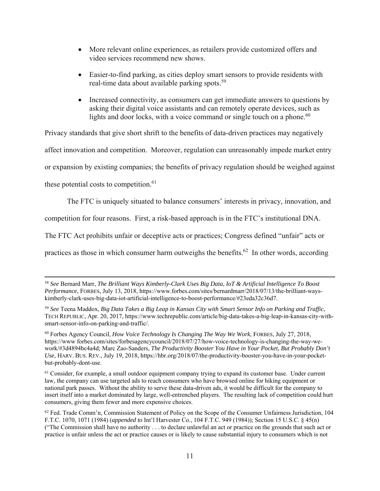- More relevant online experiences, as retailers provide customized offers and video services recommend new shows.
- Easier-to-find parking, as cities deploy smart sensors to provide residents with real-time data about available parking spots.59
- Increased connectivity, as consumers can get immediate answers to questions by asking their digital voice assistants and can remotely operate devices, such as lights and door locks, with a voice command or single touch on a phone.<sup>60</sup>

Privacy standards that give short shrift to the benefits of data-driven practices may negatively

affect innovation and competition. Moreover, regulation can unreasonably impede market entry

or expansion by existing companies; the benefits of privacy regulation should be weighed against

these potential costs to competition.<sup>61</sup>

 $\overline{a}$ 

The FTC is uniquely situated to balance consumers' interests in privacy, innovation, and

competition for four reasons. First, a risk-based approach is in the FTC's institutional DNA.

The FTC Act prohibits unfair or deceptive acts or practices; Congress defined "unfair" acts or

practices as those in which consumer harm outweighs the benefits.<sup>62</sup> In other words, according

<sup>58</sup>*See* Bernard Marr, *The Brilliant Ways Kimberly-Clark Uses Big Data, IoT & Artificial Intelligence To Boost Performance*, FORBES, July 13, 2018, https://www.forbes.com/sites/bernardmarr/2018/07/13/the-brilliant-wayskimberly-clark-uses-big-data-iot-artificial-intelligence-to-boost-performance/#23eda32c36d7.

<sup>59</sup>*See* Teena Maddox, *Big Data Takes a Big Leap in Kansas City with Smart Sensor Info on Parking and Traffic*, TECH REPUBLIC, Apr. 20, 2017, https://www.techrepublic.com/article/big-data-takes-a-big-leap-in-kansas-city-withsmart-sensor-info-on-parking-and-traffic/.

 60 Forbes Agency Council, *How Voice Technology Is Changing The Way We Work*, FORBES, July 27, 2018, *Use*, HARV. BUS. REV., July 19, 2018, https://hbr.org/2018/07/the-productivity-booster-you-have-in-your-pockethttps://www forbes.com/sites/forbesagencycouncil/2018/07/27/how-voice-technology-is-changing-the-way-wework/#3d4894bc4a4d; Marc Zao-Sanders, *The Productivity Booster You Have in Your Pocket, But Probably Don't*  but-probably-dont-use.

<sup>&</sup>lt;sup>61</sup> Consider, for example, a small outdoor equipment company trying to expand its customer base. Under current law, the company can use targeted ads to reach consumers who have browsed online for hiking equipment or national park passes. Without the ability to serve these data-driven ads, it would be difficult for the company to insert itself into a market dominated by large, well-entrenched players. The resulting lack of competition could hurt consumers, giving them fewer and more expensive choices.

 $62$  Fed. Trade Comm'n, Commission Statement of Policy on the Scope of the Consumer Unfairness Jurisdiction, 104 F.T.C. 1070, 1071 (1984) (*appended to* Int'l Harvester Co., 104 F.T.C. 949 (1984)); Section 15 U.S.C. § 45(n) ("The Commission shall have no authority . . . to declare unlawful an act or practice on the grounds that such act or practice is unfair unless the act or practice causes or is likely to cause substantial injury to consumers which is not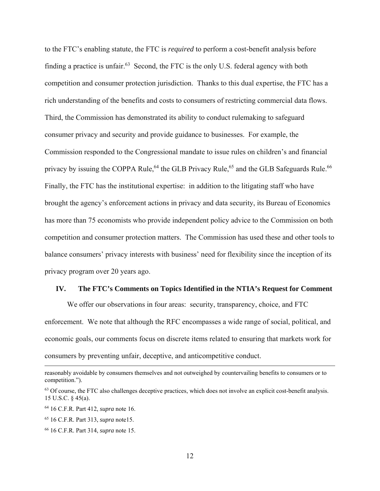competition and consumer protection jurisdiction. Thanks to this dual expertise, the FTC has a privacy by issuing the COPPA Rule,<sup>64</sup> the GLB Privacy Rule,<sup>65</sup> and the GLB Safeguards Rule.<sup>66</sup> to the FTC's enabling statute, the FTC is *required* to perform a cost-benefit analysis before finding a practice is unfair.<sup>63</sup> Second, the FTC is the only U.S. federal agency with both rich understanding of the benefits and costs to consumers of restricting commercial data flows. Third, the Commission has demonstrated its ability to conduct rulemaking to safeguard consumer privacy and security and provide guidance to businesses. For example, the Commission responded to the Congressional mandate to issue rules on children's and financial Finally, the FTC has the institutional expertise: in addition to the litigating staff who have brought the agency's enforcement actions in privacy and data security, its Bureau of Economics has more than 75 economists who provide independent policy advice to the Commission on both competition and consumer protection matters. The Commission has used these and other tools to balance consumers' privacy interests with business' need for flexibility since the inception of its privacy program over 20 years ago.

#### **IV. The FTC's Comments on Topics Identified in the NTIA's Request for Comment**

We offer our observations in four areas: security, transparency, choice, and FTC enforcement. We note that although the RFC encompasses a wide range of social, political, and economic goals, our comments focus on discrete items related to ensuring that markets work for consumers by preventing unfair, deceptive, and anticompetitive conduct.

-

reasonably avoidable by consumers themselves and not outweighed by countervailing benefits to consumers or to competition.").

 $63$  Of course, the FTC also challenges deceptive practices, which does not involve an explicit cost-benefit analysis. 15 U.S.C. § 45(a).

<sup>64 16</sup> C.F.R. Part 412, *supra* note 16.

<sup>65 16</sup> C.F.R. Part 313, *supra* note15.

<sup>66 16</sup> C.F.R. Part 314, *supra* note 15.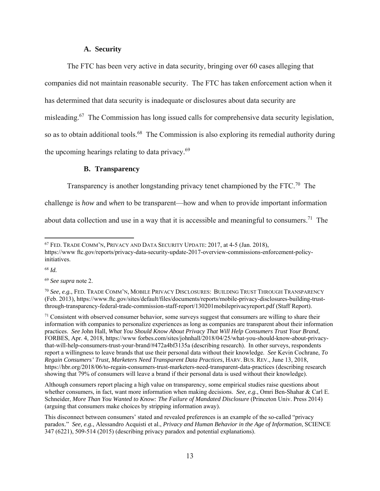## **A. Security**

The FTC has been very active in data security, bringing over 60 cases alleging that companies did not maintain reasonable security. The FTC has taken enforcement action when it has determined that data security is inadequate or disclosures about data security are misleading.67 The Commission has long issued calls for comprehensive data security legislation, so as to obtain additional tools.<sup>68</sup> The Commission is also exploring its remedial authority during the upcoming hearings relating to data privacy.<sup>69</sup>

#### **B. Transparency**

Transparency is another longstanding privacy tenet championed by the FTC.70 The

challenge is *how* and *when* to be transparent—how and when to provide important information

about data collection and use in a way that it is accessible and meaningful to consumers.<sup>71</sup> The

<sup>68</sup>*Id.* 

 $\overline{a}$ 

<sup>69</sup>*See supra* note 2.

(arguing that consumers make choices by stripping information away). Although consumers report placing a high value on transparency, some empirical studies raise questions about whether consumers, in fact, want more information when making decisions. *See, e.g.*, Omri Ben-Shahar & Carl E. Schneider, *More Than You Wanted to Know: The Failure of Mandated Disclosure* (Princeton Univ. Press 2014)

 $67$  Fed. Trade COMM'N, PRIVACY AND DATA SECURITY UPDATE: 2017, at 4-5 (Jan. 2018), https://www ftc.gov/reports/privacy-data-security-update-2017-overview-commissions-enforcement-policyinitiatives.

 <sup>70</sup>*See, e.g.*, FED. TRADE COMM'N, MOBILE PRIVACY DISCLOSURES: BUILDING TRUST THROUGH TRANSPARENCY (Feb. 2013), https://www.ftc.gov/sites/default/files/documents/reports/mobile-privacy-disclosures-building-trustthrough-transparency-federal-trade-commission-staff-report/130201mobileprivacyreport.pdf (Staff Report).

<sup>&</sup>lt;sup>71</sup> Consistent with observed consumer behavior, some surveys suggest that consumers are willing to share their *Regain Consumers' Trust, Marketers Need Transparent Data Practices*, HARV. BUS. REV., June 13, 2018, https://hbr.org/2018/06/to-regain-consumers-trust-marketers-need-transparent-data-practices (describing research information with companies to personalize experiences as long as companies are transparent about their information practices. *See* John Hall, *What You Should Know About Privacy That Will Help Consumers Trust Your Brand*, FORBES, Apr. 4, 2018, https://www forbes.com/sites/johnhall/2018/04/25/what-you-should-know-about-privacythat-will-help-consumers-trust-your-brand/#472a4bf3135a (describing research). In other surveys, respondents report a willingness to leave brands that use their personal data without their knowledge. *See* Kevin Cochrane, *To*  showing that 79% of consumers will leave a brand if their personal data is used without their knowledge).

This disconnect between consumers' stated and revealed preferences is an example of the so-called "privacy" paradox." *See, e.g.*, Alessandro Acquisti et al., *Privacy and Human Behavior in the Age of Information*, SCIENCE 347 (6221), 509-514 (2015) (describing privacy paradox and potential explanations).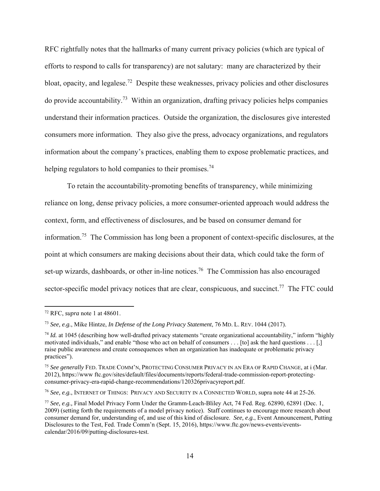helping regulators to hold companies to their promises.<sup>74</sup> RFC rightfully notes that the hallmarks of many current privacy policies (which are typical of efforts to respond to calls for transparency) are not salutary: many are characterized by their bloat, opacity, and legalese.72 Despite these weaknesses, privacy policies and other disclosures do provide accountability.<sup>73</sup> Within an organization, drafting privacy policies helps companies understand their information practices. Outside the organization, the disclosures give interested consumers more information. They also give the press, advocacy organizations, and regulators information about the company's practices, enabling them to expose problematic practices, and

To retain the accountability-promoting benefits of transparency, while minimizing reliance on long, dense privacy policies, a more consumer-oriented approach would address the context, form, and effectiveness of disclosures, and be based on consumer demand for information.75 The Commission has long been a proponent of context-specific disclosures, at the point at which consumers are making decisions about their data, which could take the form of set-up wizards, dashboards, or other in-line notices.<sup>76</sup> The Commission has also encouraged sector-specific model privacy notices that are clear, conspicuous, and succinct.<sup>77</sup> The FTC could

<sup>72</sup> RFC, *supra* note 1 at 48601.

 <sup>73</sup>*See, e.g.*, Mike Hintze, *In Defense of the Long Privacy Statement*, 76 MD. L. REV. 1044 (2017).

 motivated individuals," and enable "those who act on behalf of consumers . . . [to] ask the hard questions . . . [,] <sup>74</sup> *Id.* at 1045 (describing how well-drafted privacy statements "create organizational accountability," inform "highly raise public awareness and create consequences when an organization has inadequate or problematic privacy practices").

 <sup>75</sup>*See generally* FED. TRADE COMM'N, PROTECTING CONSUMER PRIVACY IN AN ERA OF RAPID CHANGE, at i (Mar. 2012), https://www ftc.gov/sites/default/files/documents/reports/federal-trade-commission-report-protectingconsumer-privacy-era-rapid-change-recommendations/120326privacyreport.pdf.

 <sup>76</sup>*See, e.g.*, INTERNET OF THINGS: PRIVACY AND SECURITY IN A CONNECTED WORLD, supra note 44 at 25-26.

 <sup>77</sup>*See, e.g.,* Final Model Privacy Form Under the Gramm-Leach-Bliley Act, 74 Fed. Reg. 62890, 62891 (Dec. 1, consumer demand for, understanding of, and use of this kind of disclosure. *See, e.g.*, Event Announcement, Putting 2009) (setting forth the requirements of a model privacy notice). Staff continues to encourage more research about Disclosures to the Test, Fed. Trade Comm'n (Sept. 15, 2016), https://www.ftc.gov/news-events/eventscalendar/2016/09/putting-disclosures-test.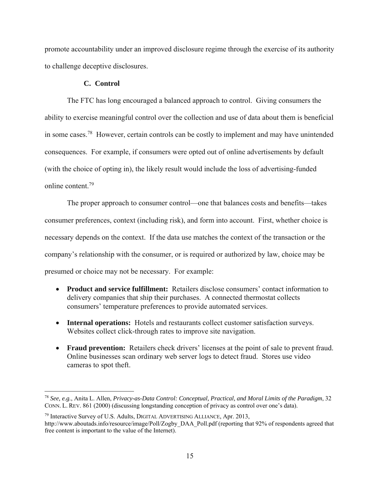promote accountability under an improved disclosure regime through the exercise of its authority to challenge deceptive disclosures.

## **C. Control**

 $\overline{a}$ 

 online content.79 The FTC has long encouraged a balanced approach to control. Giving consumers the ability to exercise meaningful control over the collection and use of data about them is beneficial in some cases.78 However, certain controls can be costly to implement and may have unintended consequences. For example, if consumers were opted out of online advertisements by default (with the choice of opting in), the likely result would include the loss of advertising-funded

The proper approach to consumer control—one that balances costs and benefits—takes consumer preferences, context (including risk), and form into account. First, whether choice is necessary depends on the context. If the data use matches the context of the transaction or the company's relationship with the consumer, or is required or authorized by law, choice may be presumed or choice may not be necessary. For example:

- **Product and service fulfillment:** Retailers disclose consumers' contact information to delivery companies that ship their purchases. A connected thermostat collects consumers' temperature preferences to provide automated services.
- **Internal operations:** Hotels and restaurants collect customer satisfaction surveys. Websites collect click-through rates to improve site navigation.
- **Fraud prevention:** Retailers check drivers' licenses at the point of sale to prevent fraud. Online businesses scan ordinary web server logs to detect fraud. Stores use video cameras to spot theft.

 CONN. L. REV. 861 (2000) (discussing longstanding conception of privacy as control over one's data). <sup>78</sup>*See, e.g.*, Anita L. Allen, *Privacy-as-Data Control: Conceptual, Practical, and Moral Limits of the Paradigm*, 32

<sup>79</sup> Interactive Survey of U.S. Adults, DIGITAL ADVERTISING ALLIANCE, Apr. 2013, http://www.aboutads.info/resource/image/Poll/Zogby\_DAA\_Poll.pdf (reporting that 92% of respondents agreed that free content is important to the value of the Internet).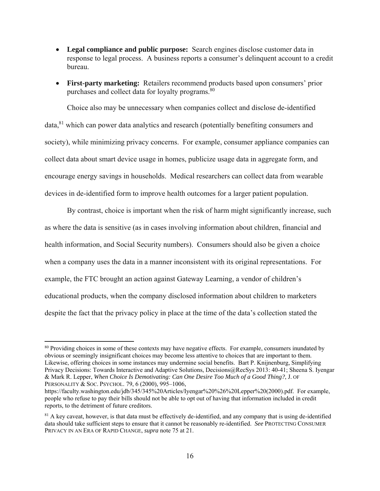- **Legal compliance and public purpose:** Search engines disclose customer data in response to legal process. A business reports a consumer's delinquent account to a credit bureau.
- purchases and collect data for loyalty programs.<sup>80</sup> **First-party marketing:** Retailers recommend products based upon consumers' prior

Choice also may be unnecessary when companies collect and disclose de-identified data,81 which can power data analytics and research (potentially benefiting consumers and society), while minimizing privacy concerns. For example, consumer appliance companies can collect data about smart device usage in homes, publicize usage data in aggregate form, and encourage energy savings in households. Medical researchers can collect data from wearable devices in de-identified form to improve health outcomes for a larger patient population.

By contrast, choice is important when the risk of harm might significantly increase, such as where the data is sensitive (as in cases involving information about children, financial and health information, and Social Security numbers). Consumers should also be given a choice when a company uses the data in a manner inconsistent with its original representations. For example, the FTC brought an action against Gateway Learning, a vendor of children's educational products, when the company disclosed information about children to marketers despite the fact that the privacy policy in place at the time of the data's collection stated the

 & Mark R. Lepper, *When Choice Is Demotivating: Can One Desire Too Much of a Good Thing?*, J. OF PERSONALITY & SOC. PSYCHOL. 79, 6 (2000), 995-1006, <sup>80</sup> Providing choices in some of these contexts may have negative effects. For example, consumers inundated by obvious or seemingly insignificant choices may become less attentive to choices that are important to them. Likewise, offering choices in some instances may undermine social benefits. Bart P. Knijnenburg, Simplifying Privacy Decisions: Towards Interactive and Adaptive Solutions, Decisions@RecSys 2013: 40-41; Sheena S. Iyengar

 people who refuse to pay their bills should not be able to opt out of having that information included in credit https://faculty.washington.edu/jdb/345/345%20Articles/Iyengar%20%26%20Lepper%20(2000).pdf. For example, reports, to the detriment of future creditors.

 data should take sufficient steps to ensure that it cannot be reasonably re-identified. *See* PROTECTING CONSUMER <sup>81</sup> A key caveat, however, is that data must be effectively de-identified, and any company that is using de-identified PRIVACY IN AN ERA OF RAPID CHANGE, *supra* note 75 at 21.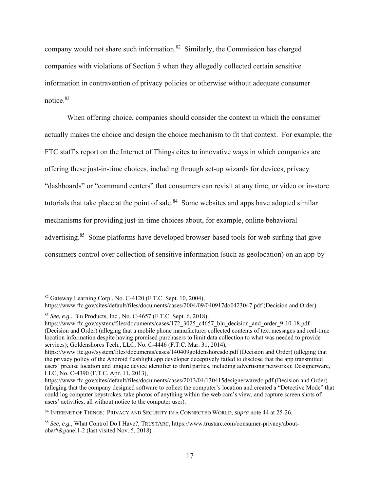notice.<sup>83</sup> company would not share such information.82 Similarly, the Commission has charged companies with violations of Section 5 when they allegedly collected certain sensitive information in contravention of privacy policies or otherwise without adequate consumer

When offering choice, companies should consider the context in which the consumer actually makes the choice and design the choice mechanism to fit that context. For example, the FTC staff's report on the Internet of Things cites to innovative ways in which companies are offering these just-in-time choices, including through set-up wizards for devices, privacy "dashboards" or "command centers" that consumers can revisit at any time, or video or in-store tutorials that take place at the point of sale. $84$  Some websites and apps have adopted similar mechanisms for providing just-in-time choices about, for example, online behavioral advertising.<sup>85</sup> Some platforms have developed browser-based tools for web surfing that give consumers control over collection of sensitive information (such as geolocation) on an app-by-

 $82$  Gateway Learning Corp., No. C-4120 (F.T.C. Sept. 10, 2004),

 https://www ftc.gov/sites/default/files/documents/cases/2004/09/040917do0423047.pdf (Decision and Order).

<sup>83</sup>*See, e.g.*, Blu Products, Inc., No. C-4657 (F.T.C. Sept. 6, 2018),

 services); Goldenshores Tech., LLC, No. C-4446 (F.T.C. Mar. 31, 2014), https://www.ftc.gov/system/files/documents/cases/172\_3025\_c4657\_blu\_decision\_and\_order\_9-10-18.pdf (Decision and Order) (alleging that a mobile phone manufacturer collected contents of text messages and real-time location information despite having promised purchasers to limit data collection to what was needed to provide

https://www ftc.gov/system/files/documents/cases/140409goldenshoresdo.pdf (Decision and Order) (alleging that the privacy policy of the Android flashlight app developer deceptively failed to disclose that the app transmitted users' precise location and unique device identifier to third parties, including advertising networks); Designerware, LLC, No. C-4390 (F.T.C. Apr. 11, 2013),

 could log computer keystrokes, take photos of anything within the web cam's view, and capture screen shots of https://www ftc.gov/sites/default/files/documents/cases/2013/04/130415designerwaredo.pdf (Decision and Order) (alleging that the company designed software to collect the computer's location and created a "Detective Mode" that users' activities, all without notice to the computer user).

 84 INTERNET OF THINGS: PRIVACY AND SECURITY IN A CONNECTED WORLD, *supra* note 44 at 25-26.

 85 *See, e.g.*, What Control Do I Have?, TRUSTARC, https://www.trustarc.com/consumer-privacy/about-oba/#&panel1-2 (last visited Nov. 5, 2018).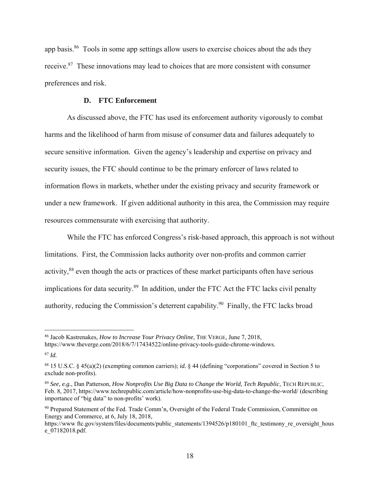app basis.86 Tools in some app settings allow users to exercise choices about the ads they receive.87 These innovations may lead to choices that are more consistent with consumer preferences and risk.

## **D. FTC Enforcement**

As discussed above, the FTC has used its enforcement authority vigorously to combat harms and the likelihood of harm from misuse of consumer data and failures adequately to secure sensitive information. Given the agency's leadership and expertise on privacy and security issues, the FTC should continue to be the primary enforcer of laws related to information flows in markets, whether under the existing privacy and security framework or under a new framework. If given additional authority in this area, the Commission may require resources commensurate with exercising that authority.

While the FTC has enforced Congress's risk-based approach, this approach is not without limitations. First, the Commission lacks authority over non-profits and common carrier activity,<sup>88</sup> even though the acts or practices of these market participants often have serious implications for data security.<sup>89</sup> In addition, under the FTC Act the FTC lacks civil penalty authority, reducing the Commission's deterrent capability.<sup>90</sup> Finally, the FTC lacks broad

<sup>86</sup> Jacob Kastrenakes, *How to Increase Your Privacy Online*, THE VERGE, June 7, 2018, https://www.theverge.com/2018/6/7/17434522/online-privacy-tools-guide-chrome-windows.

 <sup>87</sup>*Id.* 

 88 15 U.S.C. § 45(a)(2) (exempting common carriers); *id.* § 44 (defining "corporations" covered in Section 5 to exclude non-profits).

 <sup>89</sup>*See, e.g.*, Dan Patterson, *How Nonprofits Use Big Data to Change the World, Tech Republic*, TECH REPUBLIC, importance of "big data" to non-profits' work). Feb. 8, 2017, https://www.techrepublic.com/article/how-nonprofits-use-big-data-to-change-the-world/ (describing

<sup>90</sup> Prepared Statement of the Fed. Trade Comm'n, Oversight of the Federal Trade Commission, Committee on Energy and Commerce, at 6, July 18, 2018,

https://www.ftc.gov/system/files/documents/public\_statements/1394526/p180101\_ftc\_testimony\_re\_oversight\_hous e\_07182018.pdf.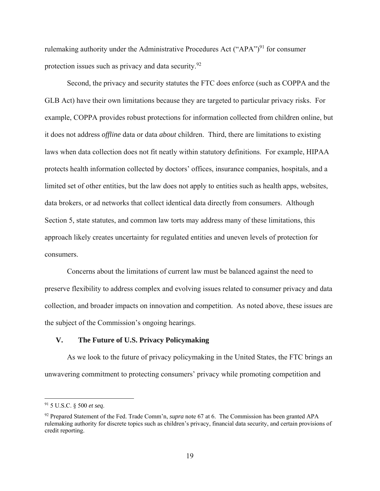protection issues such as privacy and data security.<sup>92</sup> rulemaking authority under the Administrative Procedures Act ("APA")<sup>91</sup> for consumer

Second, the privacy and security statutes the FTC does enforce (such as COPPA and the GLB Act) have their own limitations because they are targeted to particular privacy risks. For example, COPPA provides robust protections for information collected from children online, but it does not address *offline* data or data *about* children. Third, there are limitations to existing laws when data collection does not fit neatly within statutory definitions. For example, HIPAA protects health information collected by doctors' offices, insurance companies, hospitals, and a limited set of other entities, but the law does not apply to entities such as health apps, websites, data brokers, or ad networks that collect identical data directly from consumers. Although Section 5, state statutes, and common law torts may address many of these limitations, this approach likely creates uncertainty for regulated entities and uneven levels of protection for consumers.

Concerns about the limitations of current law must be balanced against the need to preserve flexibility to address complex and evolving issues related to consumer privacy and data collection, and broader impacts on innovation and competition. As noted above, these issues are the subject of the Commission's ongoing hearings.

## **V. The Future of U.S. Privacy Policymaking**

As we look to the future of privacy policymaking in the United States, the FTC brings an unwavering commitment to protecting consumers' privacy while promoting competition and

-

<sup>91 5</sup> U.S.C. § 500 *et seq*.

<sup>92</sup> Prepared Statement of the Fed. Trade Comm'n, *supra* note 67 at 6. The Commission has been granted APA rulemaking authority for discrete topics such as children's privacy, financial data security, and certain provisions of credit reporting.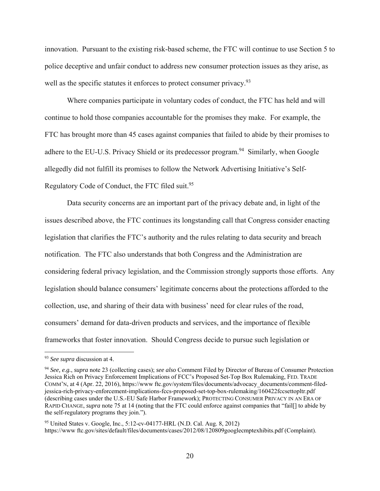well as the specific statutes it enforces to protect consumer privacy.<sup>93</sup> innovation. Pursuant to the existing risk-based scheme, the FTC will continue to use Section 5 to police deceptive and unfair conduct to address new consumer protection issues as they arise, as

Regulatory Code of Conduct, the FTC filed suit.<sup>95</sup> Where companies participate in voluntary codes of conduct, the FTC has held and will continue to hold those companies accountable for the promises they make. For example, the FTC has brought more than 45 cases against companies that failed to abide by their promises to adhere to the EU-U.S. Privacy Shield or its predecessor program.<sup>94</sup> Similarly, when Google allegedly did not fulfill its promises to follow the Network Advertising Initiative's Self-

Data security concerns are an important part of the privacy debate and, in light of the issues described above, the FTC continues its longstanding call that Congress consider enacting legislation that clarifies the FTC's authority and the rules relating to data security and breach notification. The FTC also understands that both Congress and the Administration are considering federal privacy legislation, and the Commission strongly supports those efforts. Any legislation should balance consumers' legitimate concerns about the protections afforded to the collection, use, and sharing of their data with business' need for clear rules of the road, consumers' demand for data-driven products and services, and the importance of flexible frameworks that foster innovation. Should Congress decide to pursue such legislation or

<sup>93</sup>*See supra* discussion at 4.

 RAPID CHANGE, *supra* note 75 at 14 (noting that the FTC could enforce against companies that "fail[] to abide by <sup>94</sup>*See, e.g.*, *supra* note 23 (collecting cases); *see also* Comment Filed by Director of Bureau of Consumer Protection Jessica Rich on Privacy Enforcement Implications of FCC's Proposed Set-Top Box Rulemaking, FED. TRADE COMM'N, at 4 (Apr. 22, 2016), https://www ftc.gov/system/files/documents/advocacy\_documents/comment-filedjessica-rich-privacy-enforcement-implications-fccs-proposed-set-top-box-rulemaking/160422fccsettopltr.pdf (describing cases under the U.S.-EU Safe Harbor Framework); PROTECTING CONSUMER PRIVACY IN AN ERA OF the self-regulatory programs they join.").

 95 United States v. Google, Inc., 5:12-cv-04177-HRL (N.D. Cal. Aug. 8, 2012) https://www ftc.gov/sites/default/files/documents/cases/2012/08/120809googlecmptexhibits.pdf (Complaint).